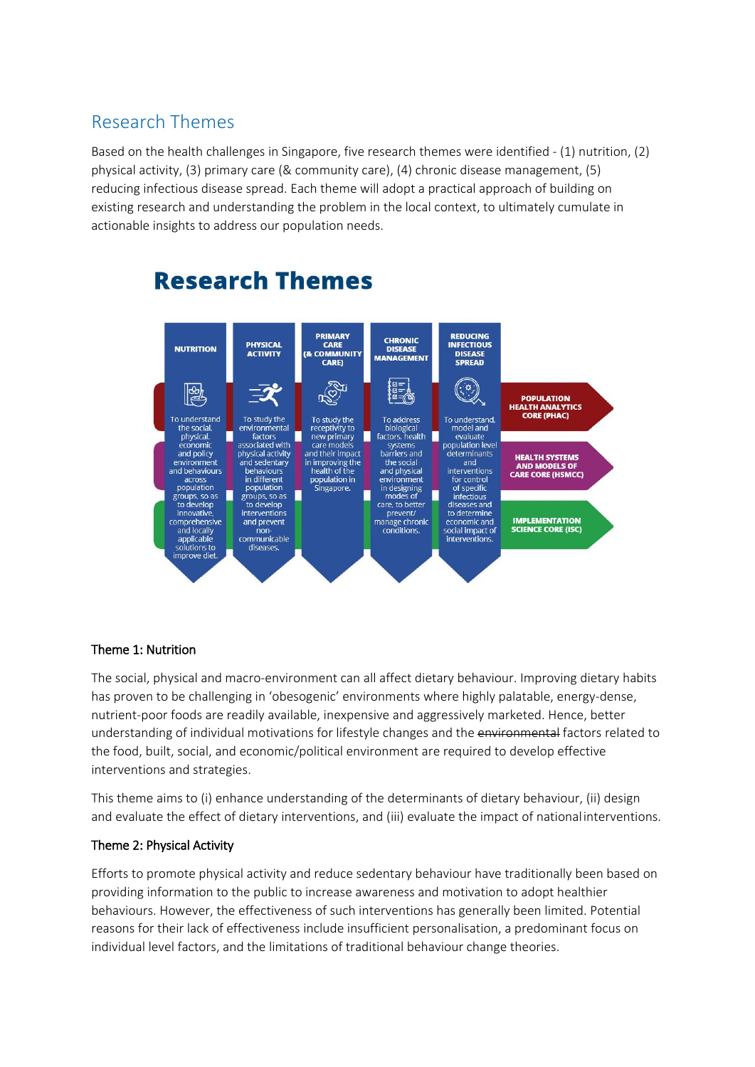## Research Themes

Based on the health challenges in Singapore, five research themes were identified - (1) nutrition, (2) physical activity, (3) primary care (& community care), (4) chronic disease management, (5) reducing infectious disease spread. Each theme will adopt a practical approach of building on existing research and understanding the problem in the local context, to ultimately cumulate in actionable insights to address our population needs.



# **Research Themes**

### Theme 1: Nutrition

The social, physical and macro-environment can all affect dietary behaviour. Improving dietary habits has proven to be challenging in 'obesogenic' environments where highly palatable, energy-dense, nutrient-poor foods are readily available, inexpensive and aggressively marketed. Hence, better understanding of individual motivations for lifestyle changes and the environmental factors related to the food, built, social, and economic/political environment are required to develop effective interventions and strategies.

This theme aims to (i) enhance understanding of the determinants of dietary behaviour, (ii) design and evaluate the effect of dietary interventions, and (iii) evaluate the impact of nationalinterventions.

#### Theme 2: Physical Activity

Efforts to promote physical activity and reduce sedentary behaviour have traditionally been based on providing information to the public to increase awareness and motivation to adopt healthier behaviours. However, the effectiveness of such interventions has generally been limited. Potential reasons for their lack of effectiveness include insufficient personalisation, a predominant focus on individual level factors, and the limitations of traditional behaviour change theories.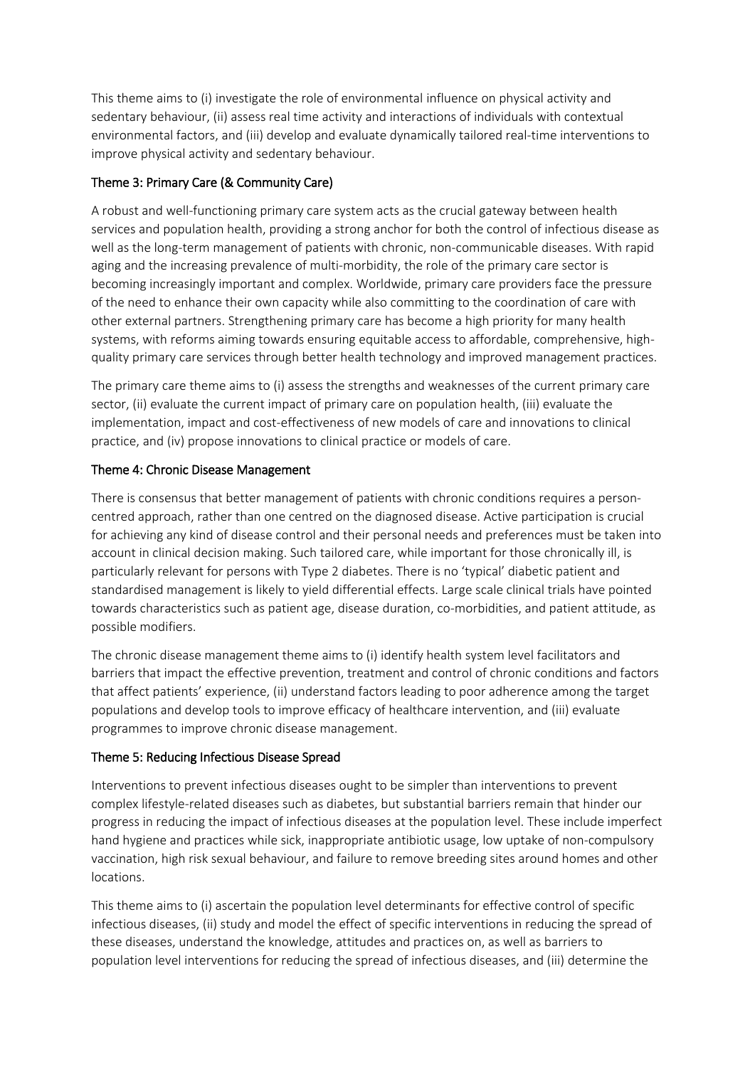This theme aims to (i) investigate the role of environmental influence on physical activity and sedentary behaviour, (ii) assess real time activity and interactions of individuals with contextual environmental factors, and (iii) develop and evaluate dynamically tailored real-time interventions to improve physical activity and sedentary behaviour.

#### Theme 3: Primary Care (& Community Care)

A robust and well-functioning primary care system acts as the crucial gateway between health services and population health, providing a strong anchor for both the control of infectious disease as well as the long-term management of patients with chronic, non-communicable diseases. With rapid aging and the increasing prevalence of multi-morbidity, the role of the primary care sector is becoming increasingly important and complex. Worldwide, primary care providers face the pressure of the need to enhance their own capacity while also committing to the coordination of care with other external partners. Strengthening primary care has become a high priority for many health systems, with reforms aiming towards ensuring equitable access to affordable, comprehensive, highquality primary care services through better health technology and improved management practices.

The primary care theme aims to (i) assess the strengths and weaknesses of the current primary care sector, (ii) evaluate the current impact of primary care on population health, (iii) evaluate the implementation, impact and cost-effectiveness of new models of care and innovations to clinical practice, and (iv) propose innovations to clinical practice or models of care.

#### Theme 4: Chronic Disease Management

There is consensus that better management of patients with chronic conditions requires a personcentred approach, rather than one centred on the diagnosed disease. Active participation is crucial for achieving any kind of disease control and their personal needs and preferences must be taken into account in clinical decision making. Such tailored care, while important for those chronically ill, is particularly relevant for persons with Type 2 diabetes. There is no 'typical' diabetic patient and standardised management is likely to yield differential effects. Large scale clinical trials have pointed towards characteristics such as patient age, disease duration, co-morbidities, and patient attitude, as possible modifiers.

The chronic disease management theme aims to (i) identify health system level facilitators and barriers that impact the effective prevention, treatment and control of chronic conditions and factors that affect patients' experience, (ii) understand factors leading to poor adherence among the target populations and develop tools to improve efficacy of healthcare intervention, and (iii) evaluate programmes to improve chronic disease management.

#### Theme 5: Reducing Infectious Disease Spread

Interventions to prevent infectious diseases ought to be simpler than interventions to prevent complex lifestyle-related diseases such as diabetes, but substantial barriers remain that hinder our progress in reducing the impact of infectious diseases at the population level. These include imperfect hand hygiene and practices while sick, inappropriate antibiotic usage, low uptake of non-compulsory vaccination, high risk sexual behaviour, and failure to remove breeding sites around homes and other locations.

This theme aims to (i) ascertain the population level determinants for effective control of specific infectious diseases, (ii) study and model the effect of specific interventions in reducing the spread of these diseases, understand the knowledge, attitudes and practices on, as well as barriers to population level interventions for reducing the spread of infectious diseases, and (iii) determine the